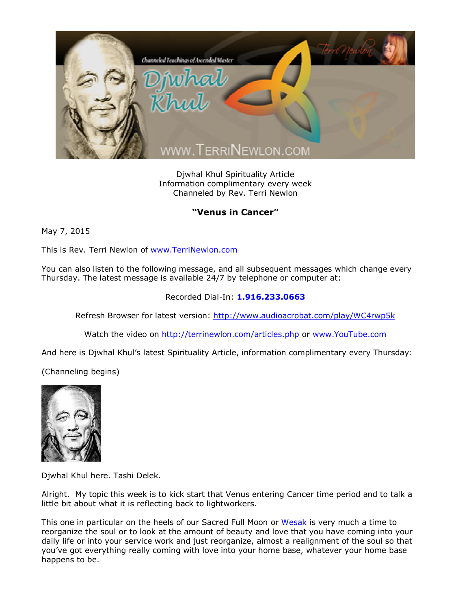

Djwhal Khul Spirituality Article Information complimentary every week Channeled by Rev. Terri Newlon

## **"Venus in Cancer"**

May 7, 2015

This is Rev. Terri Newlon of [www.TerriNewlon.com](http://www.terrinewlon.com/)

You can also listen to the following message, and all subsequent messages which change every Thursday. The latest message is available 24/7 by telephone or computer at:

## Recorded Dial-In: **1.916.233.0663**

Refresh Browser for latest version: <http://www.audioacrobat.com/play/WC4rwp5k>

Watch the video on <http://terrinewlon.com/articles.php> or [www.YouTube.com](http://www.youtube.com/)

And here is Djwhal Khul's latest Spirituality Article, information complimentary every Thursday:

(Channeling begins)



Djwhal Khul here. Tashi Delek.

Alright. My topic this week is to kick start that Venus entering Cancer time period and to talk a little bit about what it is reflecting back to lightworkers.

This one in particular on the heels of our Sacred Full Moon or [Wesak](http://www.terrinewlon.com/audio_downloads.php) is very much a time to reorganize the soul or to look at the amount of beauty and love that you have coming into your daily life or into your service work and just reorganize, almost a realignment of the soul so that you've got everything really coming with love into your home base, whatever your home base happens to be.